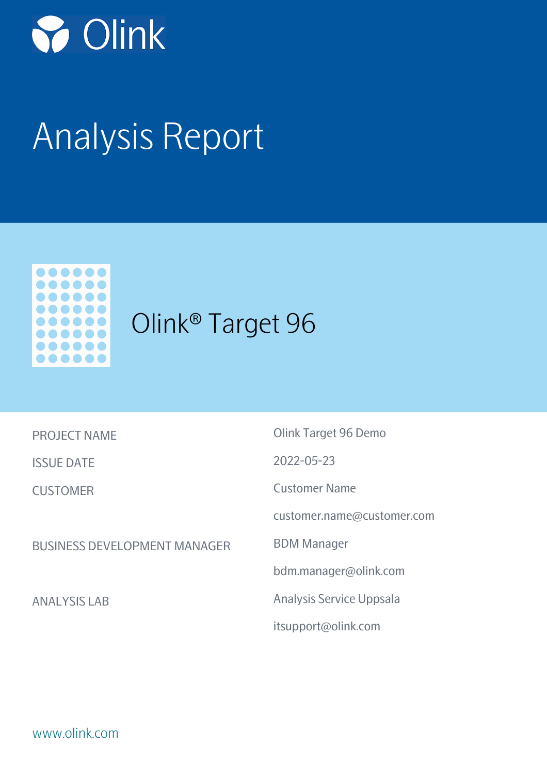

# Analysis Report



## Olink® Target 96

| <b>PROJECT NAME</b> |  |  |
|---------------------|--|--|
|---------------------|--|--|

ISSUE DATE

CUSTOMER

BUSINESS DEVELOPMENT MANAGER

ANALYSIS LAB

Olink Target 96 Demo 2022-05-23 Customer Name customer.name@customer.com BDM Manager bdm.manager@olink.com Analysis Service Uppsala itsupport@olink.com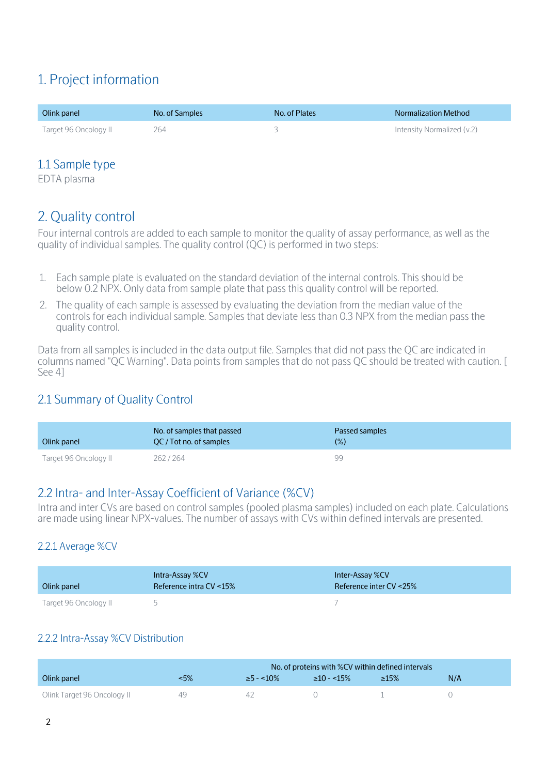## 1. Project information

| Olink panel           | No. of Samples | No. of Plates | <b>Normalization Method</b> |
|-----------------------|----------------|---------------|-----------------------------|
| Target 96 Oncology II | 264            |               | Intensity Normalized (y.2)  |

#### 1.1 Sample type

EDTA plasma

### 2. Quality control

Four internal controls are added to each sample to monitor the quality of assay performance, as well as the quality of individual samples. The quality control (QC) is performed in two steps:

- 1. Each sample plate is evaluated on the standard deviation of the internal controls. This should be below 0.2 NPX. Only data from sample plate that pass this quality control will be reported.
- 2. The quality of each sample is assessed by evaluating the deviation from the median value of the controls for each individual sample. Samples that deviate less than 0.3 NPX from the median pass the quality control.

Data from all samples is included in the data output file. Samples that did not pass the QC are indicated in columns named "QC Warning". Data points from samples that do not pass QC should be treated with caution. [ See 4]

#### 2.1 Summary of Quality Control

| Olink panel           | No. of samples that passed<br>OC/Tot no. of samples | Passed samples<br>$(\%)$ |
|-----------------------|-----------------------------------------------------|--------------------------|
| Target 96 Oncology II | 262/264                                             | QQ                       |

#### 2.2 Intra- and Inter-Assay Coefficient of Variance (%CV)

Intra and inter CVs are based on control samples (pooled plasma samples) included on each plate. Calculations are made using linear NPX-values. The number of assays with CVs within defined intervals are presented.

#### 2.2.1 Average %CV

| Olink panel           | Intra-Assay %CV<br>Reference intra CV <15% | Inter-Assay %CV<br>Reference inter $CV < 25\%$ |
|-----------------------|--------------------------------------------|------------------------------------------------|
| Target 96 Oncology II |                                            |                                                |

#### 2.2.2 Intra-Assay %CV Distribution

|                             | No. of proteins with %CV within defined intervals |                 |                  |             |     |
|-----------------------------|---------------------------------------------------|-----------------|------------------|-------------|-----|
| Olink panel                 | $-5\%$                                            | $\geq$ 5 - <10% | $\geq 10 - 15\%$ | $\geq 15\%$ | N/A |
| Olink Target 96 Oncology II |                                                   |                 |                  |             |     |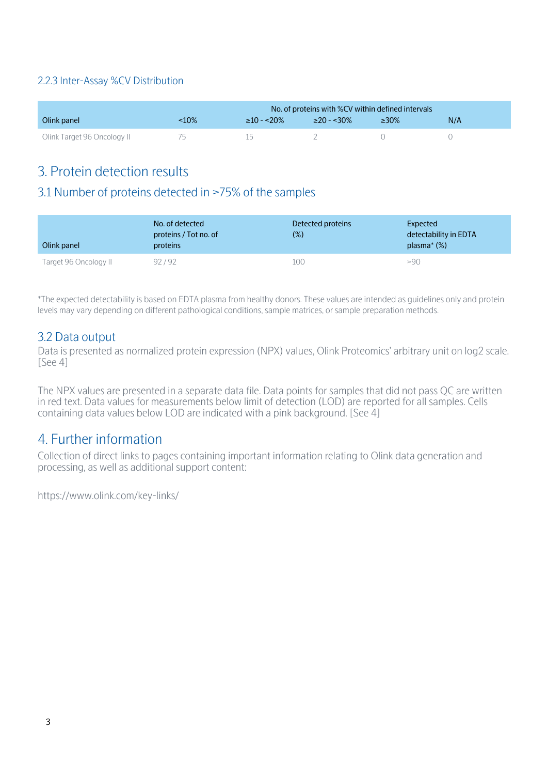#### 2.2.3 Inter-Assay %CV Distribution

|                             | No. of proteins with %CV within defined intervals |                  |              |             |     |
|-----------------------------|---------------------------------------------------|------------------|--------------|-------------|-----|
| Olink panel                 | -10%                                              | $\geq$ 10 - <20% | $>20 - 30\%$ | $\geq 30\%$ | N/A |
| Olink Target 96 Oncology II |                                                   |                  |              |             |     |

### 3. Protein detection results

#### 3.1 Number of proteins detected in >75% of the samples

| Olink panel           | No. of detected<br>proteins / Tot no. of<br>proteins | Detected proteins<br>(%) | Expected<br>detectability in EDTA<br>plasma $*(\%)$ |
|-----------------------|------------------------------------------------------|--------------------------|-----------------------------------------------------|
| Target 96 Oncology II | 92/92                                                | 100                      | >90                                                 |

\*The expected detectability is based on EDTA plasma from healthy donors. These values are intended as guidelines only and protein levels may vary depending on different pathological conditions, sample matrices, or sample preparation methods.

#### 3.2 Data output

Data is presented as normalized protein expression (NPX) values, Olink Proteomics' arbitrary unit on log2 scale. [See 4]

The NPX values are presented in a separate data file. Data points for samples that did not pass QC are written in red text. Data values for measurements below limit of detection (LOD) are reported for all samples. Cells containing data values below LOD are indicated with a pink background. [See 4]

#### 4. Further information

Collection of direct links to pages containing important information relating to Olink data generation and processing, as well as additional support content:

https://www.olink.com/key-links/